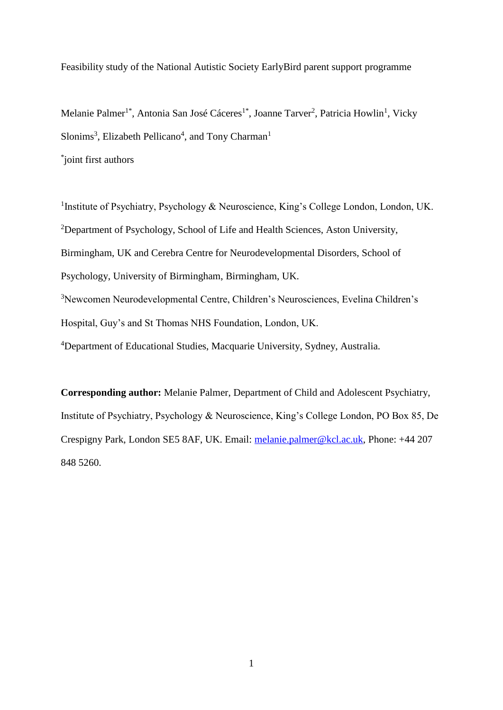Feasibility study of the National Autistic Society EarlyBird parent support programme

Melanie Palmer<sup>1\*</sup>, Antonia San José Cáceres<sup>1\*</sup>, Joanne Tarver<sup>2</sup>, Patricia Howlin<sup>1</sup>, Vicky Slonims<sup>3</sup>, Elizabeth Pellicano<sup>4</sup>, and Tony Charman<sup>1</sup> \* joint first authors

<sup>1</sup>Institute of Psychiatry, Psychology & Neuroscience, King's College London, London, UK. <sup>2</sup>Department of Psychology, School of Life and Health Sciences, Aston University, Birmingham, UK and Cerebra Centre for Neurodevelopmental Disorders, School of Psychology, University of Birmingham, Birmingham, UK. <sup>3</sup>Newcomen Neurodevelopmental Centre, Children's Neurosciences, Evelina Children's Hospital, Guy's and St Thomas NHS Foundation, London, UK. <sup>4</sup>Department of Educational Studies, Macquarie University, Sydney, Australia.

**Corresponding author:** Melanie Palmer, Department of Child and Adolescent Psychiatry, Institute of Psychiatry, Psychology & Neuroscience, King's College London, PO Box 85, De Crespigny Park, London SE5 8AF, UK. Email: [melanie.palmer@kcl.ac.uk,](mailto:melanie.palmer@kcl.ac.uk) Phone: +44 207 848 5260.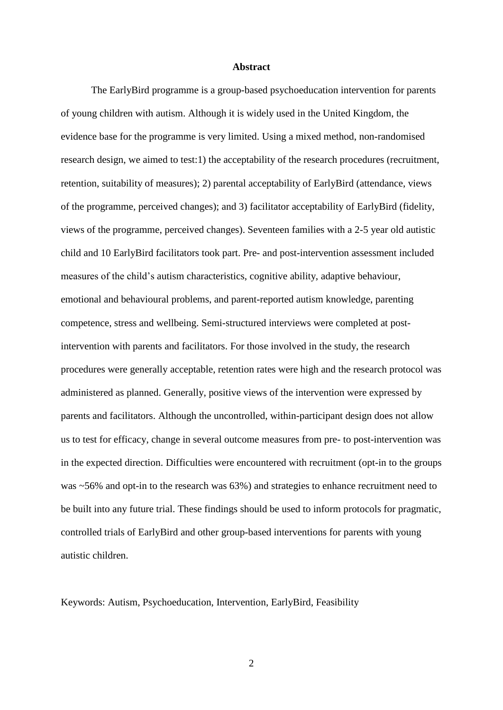#### **Abstract**

The EarlyBird programme is a group-based psychoeducation intervention for parents of young children with autism. Although it is widely used in the United Kingdom, the evidence base for the programme is very limited. Using a mixed method, non-randomised research design, we aimed to test:1) the acceptability of the research procedures (recruitment, retention, suitability of measures); 2) parental acceptability of EarlyBird (attendance, views of the programme, perceived changes); and 3) facilitator acceptability of EarlyBird (fidelity, views of the programme, perceived changes). Seventeen families with a 2-5 year old autistic child and 10 EarlyBird facilitators took part. Pre- and post-intervention assessment included measures of the child's autism characteristics, cognitive ability, adaptive behaviour, emotional and behavioural problems, and parent-reported autism knowledge, parenting competence, stress and wellbeing. Semi-structured interviews were completed at postintervention with parents and facilitators. For those involved in the study, the research procedures were generally acceptable, retention rates were high and the research protocol was administered as planned. Generally, positive views of the intervention were expressed by parents and facilitators. Although the uncontrolled, within-participant design does not allow us to test for efficacy, change in several outcome measures from pre- to post-intervention was in the expected direction. Difficulties were encountered with recruitment (opt-in to the groups was ~56% and opt-in to the research was 63%) and strategies to enhance recruitment need to be built into any future trial. These findings should be used to inform protocols for pragmatic, controlled trials of EarlyBird and other group-based interventions for parents with young autistic children.

Keywords: Autism, Psychoeducation, Intervention, EarlyBird, Feasibility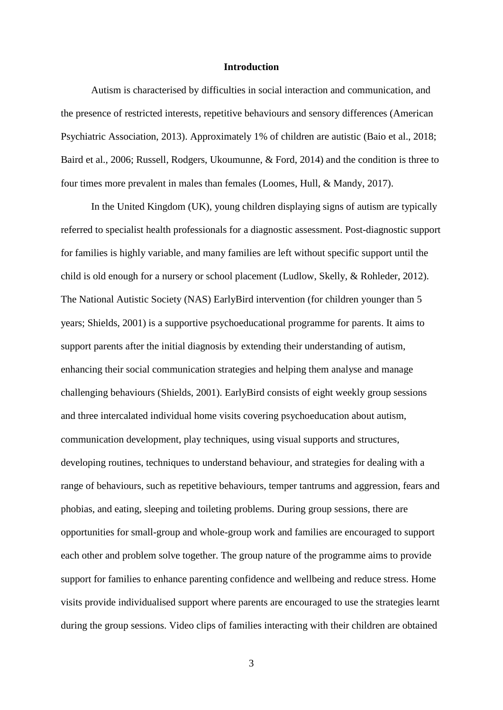#### **Introduction**

Autism is characterised by difficulties in social interaction and communication, and the presence of restricted interests, repetitive behaviours and sensory differences (American Psychiatric Association, 2013). Approximately 1% of children are autistic (Baio et al., 2018; Baird et al., 2006; Russell, Rodgers, Ukoumunne, & Ford, 2014) and the condition is three to four times more prevalent in males than females (Loomes, Hull, & Mandy, 2017).

In the United Kingdom (UK), young children displaying signs of autism are typically referred to specialist health professionals for a diagnostic assessment. Post-diagnostic support for families is highly variable, and many families are left without specific support until the child is old enough for a nursery or school placement (Ludlow, Skelly, & Rohleder, 2012). The National Autistic Society (NAS) EarlyBird intervention (for children younger than 5 years; Shields, 2001) is a supportive psychoeducational programme for parents. It aims to support parents after the initial diagnosis by extending their understanding of autism, enhancing their social communication strategies and helping them analyse and manage challenging behaviours (Shields, 2001). EarlyBird consists of eight weekly group sessions and three intercalated individual home visits covering psychoeducation about autism, communication development, play techniques, using visual supports and structures, developing routines, techniques to understand behaviour, and strategies for dealing with a range of behaviours, such as repetitive behaviours, temper tantrums and aggression, fears and phobias, and eating, sleeping and toileting problems. During group sessions, there are opportunities for small-group and whole-group work and families are encouraged to support each other and problem solve together. The group nature of the programme aims to provide support for families to enhance parenting confidence and wellbeing and reduce stress. Home visits provide individualised support where parents are encouraged to use the strategies learnt during the group sessions. Video clips of families interacting with their children are obtained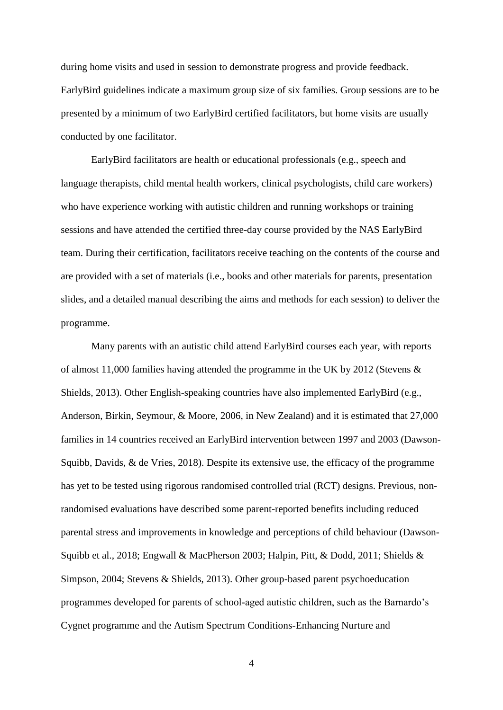during home visits and used in session to demonstrate progress and provide feedback. EarlyBird guidelines indicate a maximum group size of six families. Group sessions are to be presented by a minimum of two EarlyBird certified facilitators, but home visits are usually conducted by one facilitator.

EarlyBird facilitators are health or educational professionals (e.g., speech and language therapists, child mental health workers, clinical psychologists, child care workers) who have experience working with autistic children and running workshops or training sessions and have attended the certified three-day course provided by the NAS EarlyBird team. During their certification, facilitators receive teaching on the contents of the course and are provided with a set of materials (i.e., books and other materials for parents, presentation slides, and a detailed manual describing the aims and methods for each session) to deliver the programme.

Many parents with an autistic child attend EarlyBird courses each year, with reports of almost 11,000 families having attended the programme in the UK by 2012 (Stevens & Shields, 2013). Other English-speaking countries have also implemented EarlyBird (e.g., Anderson, Birkin, Seymour, & Moore, 2006, in New Zealand) and it is estimated that 27,000 families in 14 countries received an EarlyBird intervention between 1997 and 2003 (Dawson-Squibb, Davids, & de Vries, 2018). Despite its extensive use, the efficacy of the programme has yet to be tested using rigorous randomised controlled trial (RCT) designs. Previous, nonrandomised evaluations have described some parent-reported benefits including reduced parental stress and improvements in knowledge and perceptions of child behaviour (Dawson-Squibb et al., 2018; Engwall & MacPherson 2003; Halpin, Pitt, & Dodd, 2011; Shields & Simpson, 2004; Stevens & Shields, 2013). Other group-based parent psychoeducation programmes developed for parents of school-aged autistic children, such as the Barnardo's Cygnet programme and the Autism Spectrum Conditions-Enhancing Nurture and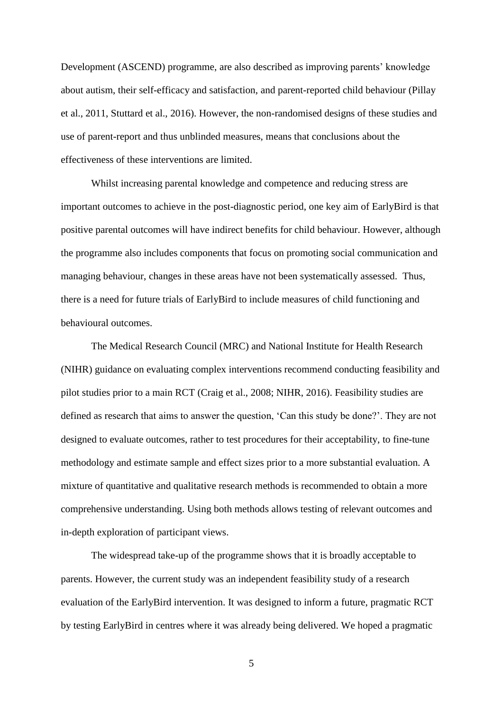Development (ASCEND) programme, are also described as improving parents' knowledge about autism, their self-efficacy and satisfaction, and parent-reported child behaviour (Pillay et al., 2011, Stuttard et al., 2016). However, the non-randomised designs of these studies and use of parent-report and thus unblinded measures, means that conclusions about the effectiveness of these interventions are limited.

Whilst increasing parental knowledge and competence and reducing stress are important outcomes to achieve in the post-diagnostic period, one key aim of EarlyBird is that positive parental outcomes will have indirect benefits for child behaviour. However, although the programme also includes components that focus on promoting social communication and managing behaviour, changes in these areas have not been systematically assessed. Thus, there is a need for future trials of EarlyBird to include measures of child functioning and behavioural outcomes.

The Medical Research Council (MRC) and National Institute for Health Research (NIHR) guidance on evaluating complex interventions recommend conducting feasibility and pilot studies prior to a main RCT (Craig et al., 2008; NIHR, 2016). Feasibility studies are defined as research that aims to answer the question, 'Can this study be done?'. They are not designed to evaluate outcomes, rather to test procedures for their acceptability, to fine-tune methodology and estimate sample and effect sizes prior to a more substantial evaluation. A mixture of quantitative and qualitative research methods is recommended to obtain a more comprehensive understanding. Using both methods allows testing of relevant outcomes and in-depth exploration of participant views.

The widespread take-up of the programme shows that it is broadly acceptable to parents. However, the current study was an independent feasibility study of a research evaluation of the EarlyBird intervention. It was designed to inform a future, pragmatic RCT by testing EarlyBird in centres where it was already being delivered. We hoped a pragmatic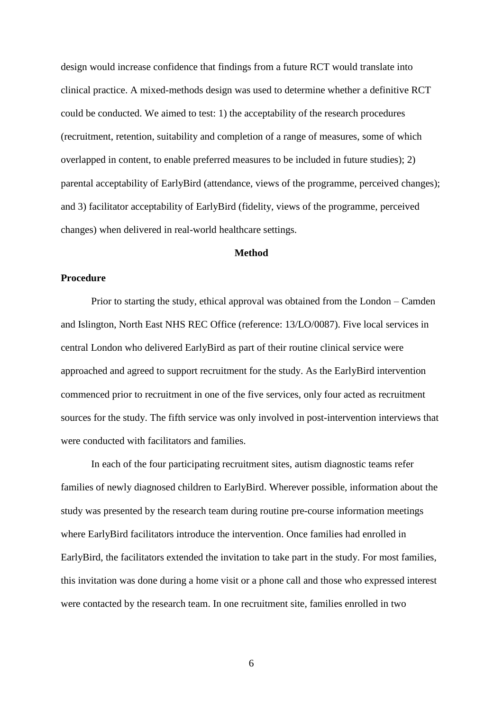design would increase confidence that findings from a future RCT would translate into clinical practice. A mixed-methods design was used to determine whether a definitive RCT could be conducted. We aimed to test: 1) the acceptability of the research procedures (recruitment, retention, suitability and completion of a range of measures, some of which overlapped in content, to enable preferred measures to be included in future studies); 2) parental acceptability of EarlyBird (attendance, views of the programme, perceived changes); and 3) facilitator acceptability of EarlyBird (fidelity, views of the programme, perceived changes) when delivered in real-world healthcare settings.

### **Method**

### **Procedure**

Prior to starting the study, ethical approval was obtained from the London – Camden and Islington, North East NHS REC Office (reference: 13/LO/0087). Five local services in central London who delivered EarlyBird as part of their routine clinical service were approached and agreed to support recruitment for the study. As the EarlyBird intervention commenced prior to recruitment in one of the five services, only four acted as recruitment sources for the study. The fifth service was only involved in post-intervention interviews that were conducted with facilitators and families.

In each of the four participating recruitment sites, autism diagnostic teams refer families of newly diagnosed children to EarlyBird. Wherever possible, information about the study was presented by the research team during routine pre-course information meetings where EarlyBird facilitators introduce the intervention. Once families had enrolled in EarlyBird, the facilitators extended the invitation to take part in the study. For most families, this invitation was done during a home visit or a phone call and those who expressed interest were contacted by the research team. In one recruitment site, families enrolled in two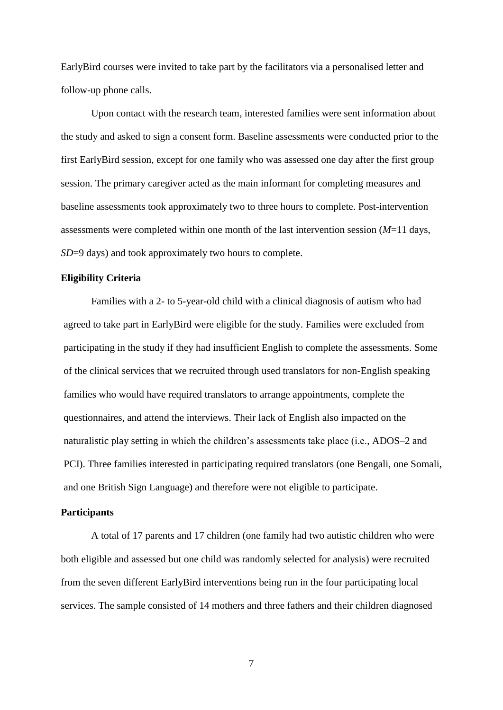EarlyBird courses were invited to take part by the facilitators via a personalised letter and follow-up phone calls.

Upon contact with the research team, interested families were sent information about the study and asked to sign a consent form. Baseline assessments were conducted prior to the first EarlyBird session, except for one family who was assessed one day after the first group session. The primary caregiver acted as the main informant for completing measures and baseline assessments took approximately two to three hours to complete. Post-intervention assessments were completed within one month of the last intervention session (*M*=11 days, *SD*=9 days) and took approximately two hours to complete.

#### **Eligibility Criteria**

Families with a 2- to 5-year-old child with a clinical diagnosis of autism who had agreed to take part in EarlyBird were eligible for the study. Families were excluded from participating in the study if they had insufficient English to complete the assessments. Some of the clinical services that we recruited through used translators for non-English speaking families who would have required translators to arrange appointments, complete the questionnaires, and attend the interviews. Their lack of English also impacted on the naturalistic play setting in which the children's assessments take place (i.e., ADOS–2 and PCI). Three families interested in participating required translators (one Bengali, one Somali, and one British Sign Language) and therefore were not eligible to participate.

# **Participants**

A total of 17 parents and 17 children (one family had two autistic children who were both eligible and assessed but one child was randomly selected for analysis) were recruited from the seven different EarlyBird interventions being run in the four participating local services. The sample consisted of 14 mothers and three fathers and their children diagnosed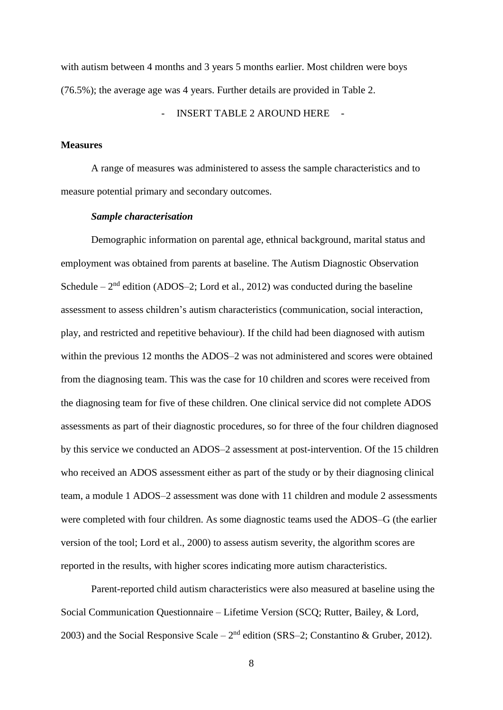with autism between 4 months and 3 years 5 months earlier. Most children were boys (76.5%); the average age was 4 years. Further details are provided in Table 2.

INSERT TABLE 2 AROUND HERE

# **Measures**

A range of measures was administered to assess the sample characteristics and to measure potential primary and secondary outcomes.

# *Sample characterisation*

Demographic information on parental age, ethnical background, marital status and employment was obtained from parents at baseline. The Autism Diagnostic Observation Schedule  $-2<sup>nd</sup>$  edition (ADOS-2; Lord et al., 2012) was conducted during the baseline assessment to assess children's autism characteristics (communication, social interaction, play, and restricted and repetitive behaviour). If the child had been diagnosed with autism within the previous 12 months the ADOS–2 was not administered and scores were obtained from the diagnosing team. This was the case for 10 children and scores were received from the diagnosing team for five of these children. One clinical service did not complete ADOS assessments as part of their diagnostic procedures, so for three of the four children diagnosed by this service we conducted an ADOS–2 assessment at post-intervention. Of the 15 children who received an ADOS assessment either as part of the study or by their diagnosing clinical team, a module 1 ADOS–2 assessment was done with 11 children and module 2 assessments were completed with four children. As some diagnostic teams used the ADOS–G (the earlier version of the tool; Lord et al., 2000) to assess autism severity, the algorithm scores are reported in the results, with higher scores indicating more autism characteristics.

Parent-reported child autism characteristics were also measured at baseline using the Social Communication Questionnaire – Lifetime Version (SCQ; Rutter, Bailey, & Lord, 2003) and the Social Responsive Scale –  $2<sup>nd</sup>$  edition (SRS–2; Constantino & Gruber, 2012).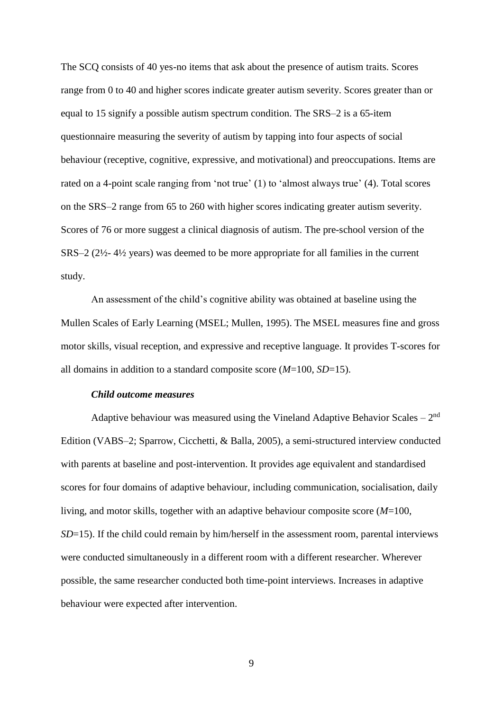The SCQ consists of 40 yes-no items that ask about the presence of autism traits. Scores range from 0 to 40 and higher scores indicate greater autism severity. Scores greater than or equal to 15 signify a possible autism spectrum condition. The SRS–2 is a 65-item questionnaire measuring the severity of autism by tapping into four aspects of social behaviour (receptive, cognitive, expressive, and motivational) and preoccupations. Items are rated on a 4-point scale ranging from 'not true' (1) to 'almost always true' (4). Total scores on the SRS–2 range from 65 to 260 with higher scores indicating greater autism severity. Scores of 76 or more suggest a clinical diagnosis of autism. The pre-school version of the SRS–2 (2½- 4½ years) was deemed to be more appropriate for all families in the current study.

An assessment of the child's cognitive ability was obtained at baseline using the Mullen Scales of Early Learning (MSEL; Mullen, 1995). The MSEL measures fine and gross motor skills, visual reception, and expressive and receptive language. It provides T-scores for all domains in addition to a standard composite score (*M*=100, *SD*=15).

#### *Child outcome measures*

Adaptive behaviour was measured using the Vineland Adaptive Behavior Scales –  $2<sup>nd</sup>$ Edition (VABS–2; Sparrow, Cicchetti, & Balla, 2005), a semi-structured interview conducted with parents at baseline and post-intervention. It provides age equivalent and standardised scores for four domains of adaptive behaviour, including communication, socialisation, daily living, and motor skills, together with an adaptive behaviour composite score (*M*=100, *SD*=15). If the child could remain by him/herself in the assessment room, parental interviews were conducted simultaneously in a different room with a different researcher. Wherever possible, the same researcher conducted both time-point interviews. Increases in adaptive behaviour were expected after intervention.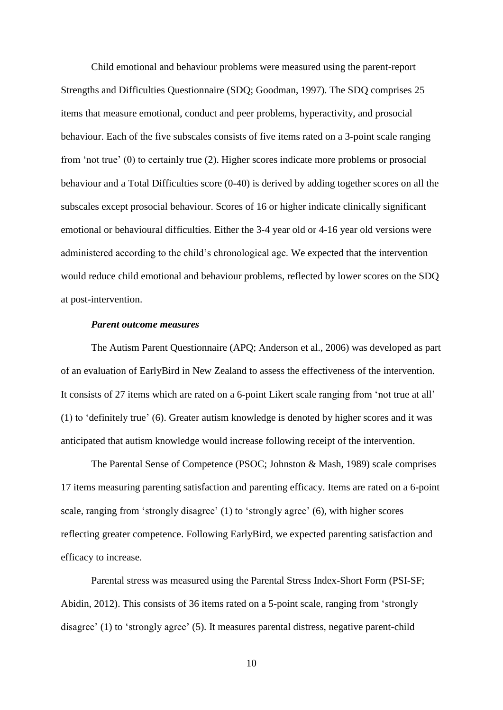Child emotional and behaviour problems were measured using the parent-report Strengths and Difficulties Questionnaire (SDQ; Goodman, 1997). The SDQ comprises 25 items that measure emotional, conduct and peer problems, hyperactivity, and prosocial behaviour. Each of the five subscales consists of five items rated on a 3-point scale ranging from 'not true' (0) to certainly true (2). Higher scores indicate more problems or prosocial behaviour and a Total Difficulties score (0-40) is derived by adding together scores on all the subscales except prosocial behaviour. Scores of 16 or higher indicate clinically significant emotional or behavioural difficulties. Either the 3-4 year old or 4-16 year old versions were administered according to the child's chronological age. We expected that the intervention would reduce child emotional and behaviour problems, reflected by lower scores on the SDQ at post-intervention.

### *Parent outcome measures*

The Autism Parent Questionnaire (APQ; Anderson et al., 2006) was developed as part of an evaluation of EarlyBird in New Zealand to assess the effectiveness of the intervention. It consists of 27 items which are rated on a 6-point Likert scale ranging from 'not true at all' (1) to 'definitely true' (6). Greater autism knowledge is denoted by higher scores and it was anticipated that autism knowledge would increase following receipt of the intervention.

The Parental Sense of Competence (PSOC; Johnston & Mash, 1989) scale comprises 17 items measuring parenting satisfaction and parenting efficacy. Items are rated on a 6-point scale, ranging from 'strongly disagree' (1) to 'strongly agree' (6), with higher scores reflecting greater competence. Following EarlyBird, we expected parenting satisfaction and efficacy to increase.

Parental stress was measured using the Parental Stress Index-Short Form (PSI-SF; Abidin, 2012). This consists of 36 items rated on a 5-point scale, ranging from 'strongly disagree' (1) to 'strongly agree' (5). It measures parental distress, negative parent-child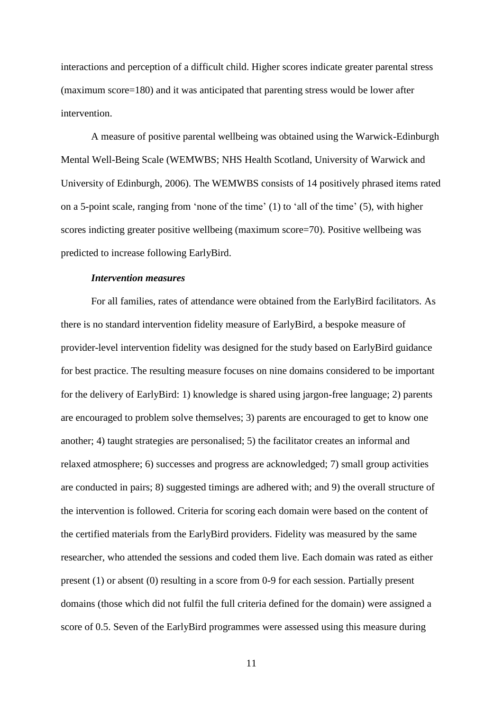interactions and perception of a difficult child. Higher scores indicate greater parental stress (maximum score=180) and it was anticipated that parenting stress would be lower after intervention.

A measure of positive parental wellbeing was obtained using the Warwick-Edinburgh Mental Well-Being Scale (WEMWBS; NHS Health Scotland, University of Warwick and University of Edinburgh, 2006). The WEMWBS consists of 14 positively phrased items rated on a 5-point scale, ranging from 'none of the time' (1) to 'all of the time' (5), with higher scores indicting greater positive wellbeing (maximum score=70). Positive wellbeing was predicted to increase following EarlyBird.

# *Intervention measures*

For all families, rates of attendance were obtained from the EarlyBird facilitators. As there is no standard intervention fidelity measure of EarlyBird, a bespoke measure of provider-level intervention fidelity was designed for the study based on EarlyBird guidance for best practice. The resulting measure focuses on nine domains considered to be important for the delivery of EarlyBird: 1) knowledge is shared using jargon-free language; 2) parents are encouraged to problem solve themselves; 3) parents are encouraged to get to know one another; 4) taught strategies are personalised; 5) the facilitator creates an informal and relaxed atmosphere; 6) successes and progress are acknowledged; 7) small group activities are conducted in pairs; 8) suggested timings are adhered with; and 9) the overall structure of the intervention is followed. Criteria for scoring each domain were based on the content of the certified materials from the EarlyBird providers. Fidelity was measured by the same researcher, who attended the sessions and coded them live. Each domain was rated as either present (1) or absent (0) resulting in a score from 0-9 for each session. Partially present domains (those which did not fulfil the full criteria defined for the domain) were assigned a score of 0.5. Seven of the EarlyBird programmes were assessed using this measure during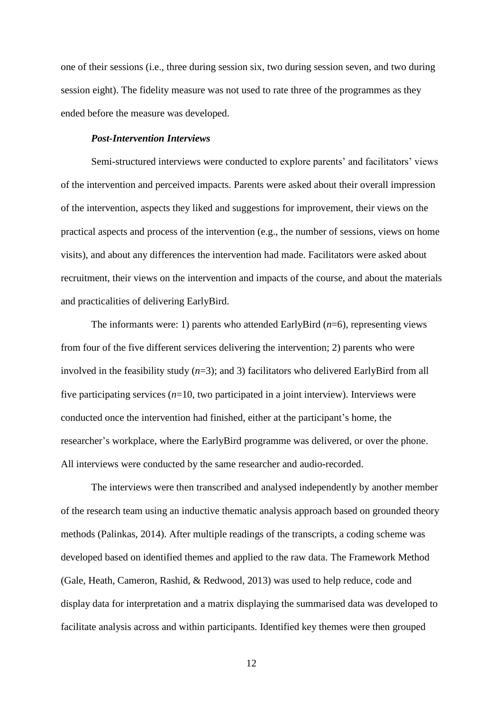one of their sessions (i.e., three during session six, two during session seven, and two during session eight). The fidelity measure was not used to rate three of the programmes as they ended before the measure was developed.

### *Post-Intervention Interviews*

Semi-structured interviews were conducted to explore parents' and facilitators' views of the intervention and perceived impacts. Parents were asked about their overall impression of the intervention, aspects they liked and suggestions for improvement, their views on the practical aspects and process of the intervention (e.g., the number of sessions, views on home visits), and about any differences the intervention had made. Facilitators were asked about recruitment, their views on the intervention and impacts of the course, and about the materials and practicalities of delivering EarlyBird.

The informants were: 1) parents who attended EarlyBird (*n*=6), representing views from four of the five different services delivering the intervention; 2) parents who were involved in the feasibility study (*n*=3); and 3) facilitators who delivered EarlyBird from all five participating services (*n*=10, two participated in a joint interview). Interviews were conducted once the intervention had finished, either at the participant's home, the researcher's workplace, where the EarlyBird programme was delivered, or over the phone. All interviews were conducted by the same researcher and audio-recorded.

The interviews were then transcribed and analysed independently by another member of the research team using an inductive thematic analysis approach based on grounded theory methods (Palinkas, 2014). After multiple readings of the transcripts, a coding scheme was developed based on identified themes and applied to the raw data. The Framework Method (Gale, Heath, Cameron, Rashid, & Redwood, 2013) was used to help reduce, code and display data for interpretation and a matrix displaying the summarised data was developed to facilitate analysis across and within participants. Identified key themes were then grouped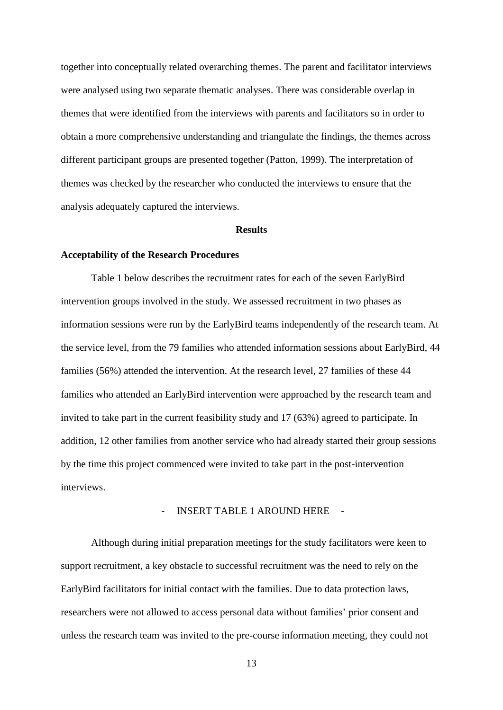together into conceptually related overarching themes. The parent and facilitator interviews were analysed using two separate thematic analyses. There was considerable overlap in themes that were identified from the interviews with parents and facilitators so in order to obtain a more comprehensive understanding and triangulate the findings, the themes across different participant groups are presented together (Patton, 1999). The interpretation of themes was checked by the researcher who conducted the interviews to ensure that the analysis adequately captured the interviews.

#### **Results**

#### **Acceptability of the Research Procedures**

Table 1 below describes the recruitment rates for each of the seven EarlyBird intervention groups involved in the study. We assessed recruitment in two phases as information sessions were run by the EarlyBird teams independently of the research team. At the service level, from the 79 families who attended information sessions about EarlyBird, 44 families (56%) attended the intervention. At the research level, 27 families of these 44 families who attended an EarlyBird intervention were approached by the research team and invited to take part in the current feasibility study and 17 (63%) agreed to participate. In addition, 12 other families from another service who had already started their group sessions by the time this project commenced were invited to take part in the post-intervention interviews.

#### INSERT TABLE 1 AROUND HERE

Although during initial preparation meetings for the study facilitators were keen to support recruitment, a key obstacle to successful recruitment was the need to rely on the EarlyBird facilitators for initial contact with the families. Due to data protection laws, researchers were not allowed to access personal data without families' prior consent and unless the research team was invited to the pre-course information meeting, they could not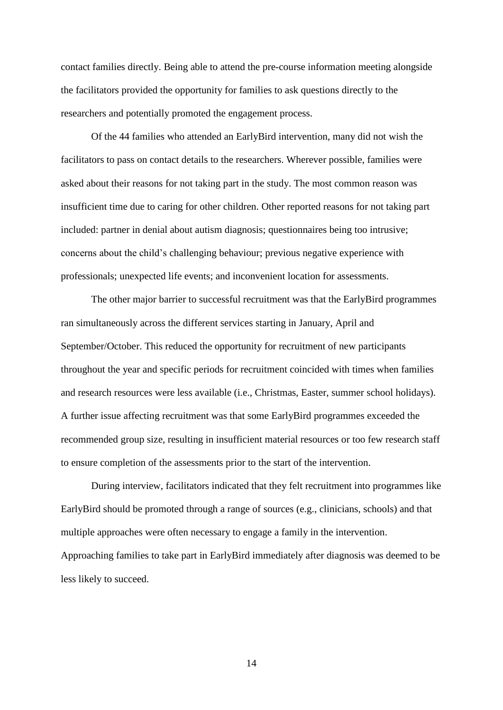contact families directly. Being able to attend the pre-course information meeting alongside the facilitators provided the opportunity for families to ask questions directly to the researchers and potentially promoted the engagement process.

Of the 44 families who attended an EarlyBird intervention, many did not wish the facilitators to pass on contact details to the researchers. Wherever possible, families were asked about their reasons for not taking part in the study. The most common reason was insufficient time due to caring for other children. Other reported reasons for not taking part included: partner in denial about autism diagnosis; questionnaires being too intrusive; concerns about the child's challenging behaviour; previous negative experience with professionals; unexpected life events; and inconvenient location for assessments.

The other major barrier to successful recruitment was that the EarlyBird programmes ran simultaneously across the different services starting in January, April and September/October. This reduced the opportunity for recruitment of new participants throughout the year and specific periods for recruitment coincided with times when families and research resources were less available (i.e., Christmas, Easter, summer school holidays). A further issue affecting recruitment was that some EarlyBird programmes exceeded the recommended group size, resulting in insufficient material resources or too few research staff to ensure completion of the assessments prior to the start of the intervention.

During interview, facilitators indicated that they felt recruitment into programmes like EarlyBird should be promoted through a range of sources (e.g., clinicians, schools) and that multiple approaches were often necessary to engage a family in the intervention. Approaching families to take part in EarlyBird immediately after diagnosis was deemed to be less likely to succeed.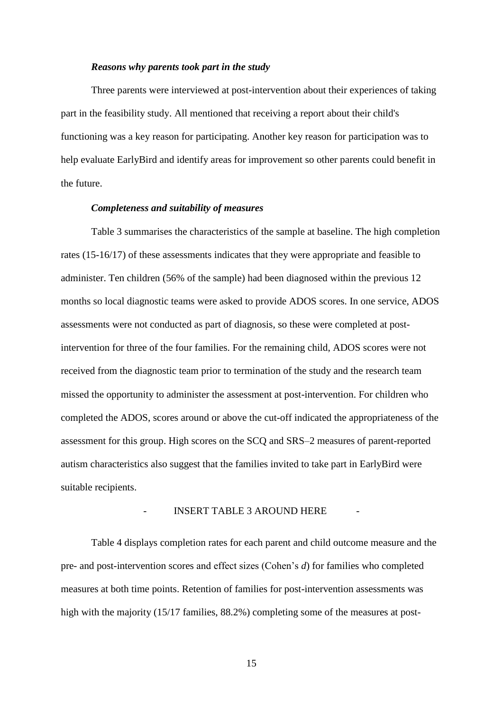#### *Reasons why parents took part in the study*

Three parents were interviewed at post-intervention about their experiences of taking part in the feasibility study. All mentioned that receiving a report about their child's functioning was a key reason for participating. Another key reason for participation was to help evaluate EarlyBird and identify areas for improvement so other parents could benefit in the future.

### *Completeness and suitability of measures*

Table 3 summarises the characteristics of the sample at baseline. The high completion rates (15-16/17) of these assessments indicates that they were appropriate and feasible to administer. Ten children (56% of the sample) had been diagnosed within the previous 12 months so local diagnostic teams were asked to provide ADOS scores. In one service, ADOS assessments were not conducted as part of diagnosis, so these were completed at postintervention for three of the four families. For the remaining child, ADOS scores were not received from the diagnostic team prior to termination of the study and the research team missed the opportunity to administer the assessment at post-intervention. For children who completed the ADOS, scores around or above the cut-off indicated the appropriateness of the assessment for this group. High scores on the SCQ and SRS–2 measures of parent-reported autism characteristics also suggest that the families invited to take part in EarlyBird were suitable recipients.

#### INSERT TABLE 3 AROUND HERE

Table 4 displays completion rates for each parent and child outcome measure and the pre- and post-intervention scores and effect sizes (Cohen's *d*) for families who completed measures at both time points. Retention of families for post-intervention assessments was high with the majority (15/17 families, 88.2%) completing some of the measures at post-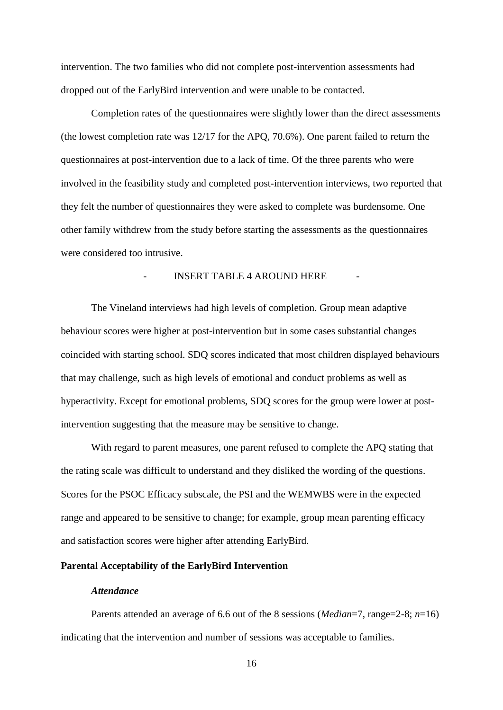intervention. The two families who did not complete post-intervention assessments had dropped out of the EarlyBird intervention and were unable to be contacted.

Completion rates of the questionnaires were slightly lower than the direct assessments (the lowest completion rate was 12/17 for the APQ, 70.6%). One parent failed to return the questionnaires at post-intervention due to a lack of time. Of the three parents who were involved in the feasibility study and completed post-intervention interviews, two reported that they felt the number of questionnaires they were asked to complete was burdensome. One other family withdrew from the study before starting the assessments as the questionnaires were considered too intrusive.

# INSERT TABLE 4 AROUND HERE

The Vineland interviews had high levels of completion. Group mean adaptive behaviour scores were higher at post-intervention but in some cases substantial changes coincided with starting school. SDQ scores indicated that most children displayed behaviours that may challenge, such as high levels of emotional and conduct problems as well as hyperactivity. Except for emotional problems, SDQ scores for the group were lower at postintervention suggesting that the measure may be sensitive to change.

With regard to parent measures, one parent refused to complete the APQ stating that the rating scale was difficult to understand and they disliked the wording of the questions. Scores for the PSOC Efficacy subscale, the PSI and the WEMWBS were in the expected range and appeared to be sensitive to change; for example, group mean parenting efficacy and satisfaction scores were higher after attending EarlyBird.

# **Parental Acceptability of the EarlyBird Intervention**

# *Attendance*

Parents attended an average of 6.6 out of the 8 sessions (*Median*=7, range=2-8; *n*=16) indicating that the intervention and number of sessions was acceptable to families.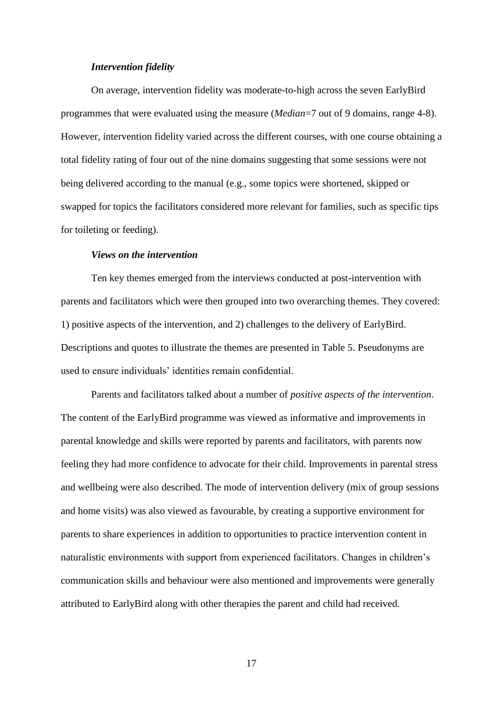### *Intervention fidelity*

On average, intervention fidelity was moderate-to-high across the seven EarlyBird programmes that were evaluated using the measure (*Median*=7 out of 9 domains, range 4-8). However, intervention fidelity varied across the different courses, with one course obtaining a total fidelity rating of four out of the nine domains suggesting that some sessions were not being delivered according to the manual (e.g., some topics were shortened, skipped or swapped for topics the facilitators considered more relevant for families, such as specific tips for toileting or feeding).

# *Views on the intervention*

Ten key themes emerged from the interviews conducted at post-intervention with parents and facilitators which were then grouped into two overarching themes. They covered: 1) positive aspects of the intervention, and 2) challenges to the delivery of EarlyBird. Descriptions and quotes to illustrate the themes are presented in Table 5. Pseudonyms are used to ensure individuals' identities remain confidential.

Parents and facilitators talked about a number of *positive aspects of the intervention*. The content of the EarlyBird programme was viewed as informative and improvements in parental knowledge and skills were reported by parents and facilitators, with parents now feeling they had more confidence to advocate for their child. Improvements in parental stress and wellbeing were also described. The mode of intervention delivery (mix of group sessions and home visits) was also viewed as favourable, by creating a supportive environment for parents to share experiences in addition to opportunities to practice intervention content in naturalistic environments with support from experienced facilitators. Changes in children's communication skills and behaviour were also mentioned and improvements were generally attributed to EarlyBird along with other therapies the parent and child had received.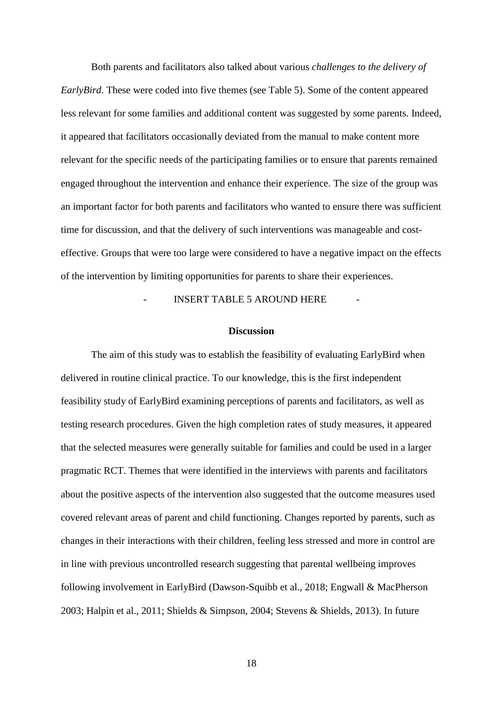Both parents and facilitators also talked about various *challenges to the delivery of EarlyBird*. These were coded into five themes (see Table 5). Some of the content appeared less relevant for some families and additional content was suggested by some parents. Indeed, it appeared that facilitators occasionally deviated from the manual to make content more relevant for the specific needs of the participating families or to ensure that parents remained engaged throughout the intervention and enhance their experience. The size of the group was an important factor for both parents and facilitators who wanted to ensure there was sufficient time for discussion, and that the delivery of such interventions was manageable and costeffective. Groups that were too large were considered to have a negative impact on the effects of the intervention by limiting opportunities for parents to share their experiences.

INSERT TABLE 5 AROUND HERE

### **Discussion**

The aim of this study was to establish the feasibility of evaluating EarlyBird when delivered in routine clinical practice. To our knowledge, this is the first independent feasibility study of EarlyBird examining perceptions of parents and facilitators, as well as testing research procedures. Given the high completion rates of study measures, it appeared that the selected measures were generally suitable for families and could be used in a larger pragmatic RCT. Themes that were identified in the interviews with parents and facilitators about the positive aspects of the intervention also suggested that the outcome measures used covered relevant areas of parent and child functioning. Changes reported by parents, such as changes in their interactions with their children, feeling less stressed and more in control are in line with previous uncontrolled research suggesting that parental wellbeing improves following involvement in EarlyBird (Dawson-Squibb et al., 2018; Engwall & MacPherson 2003; Halpin et al., 2011; Shields & Simpson, 2004; Stevens & Shields, 2013). In future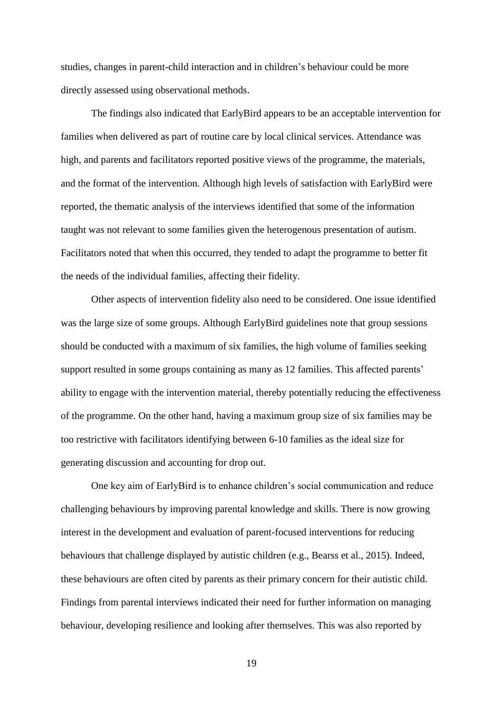studies, changes in parent-child interaction and in children's behaviour could be more directly assessed using observational methods.

The findings also indicated that EarlyBird appears to be an acceptable intervention for families when delivered as part of routine care by local clinical services. Attendance was high, and parents and facilitators reported positive views of the programme, the materials, and the format of the intervention. Although high levels of satisfaction with EarlyBird were reported, the thematic analysis of the interviews identified that some of the information taught was not relevant to some families given the heterogenous presentation of autism. Facilitators noted that when this occurred, they tended to adapt the programme to better fit the needs of the individual families, affecting their fidelity.

Other aspects of intervention fidelity also need to be considered. One issue identified was the large size of some groups. Although EarlyBird guidelines note that group sessions should be conducted with a maximum of six families, the high volume of families seeking support resulted in some groups containing as many as 12 families. This affected parents' ability to engage with the intervention material, thereby potentially reducing the effectiveness of the programme. On the other hand, having a maximum group size of six families may be too restrictive with facilitators identifying between 6-10 families as the ideal size for generating discussion and accounting for drop out.

One key aim of EarlyBird is to enhance children's social communication and reduce challenging behaviours by improving parental knowledge and skills. There is now growing interest in the development and evaluation of parent-focused interventions for reducing behaviours that challenge displayed by autistic children (e.g., Bearss et al., 2015). Indeed, these behaviours are often cited by parents as their primary concern for their autistic child. Findings from parental interviews indicated their need for further information on managing behaviour, developing resilience and looking after themselves. This was also reported by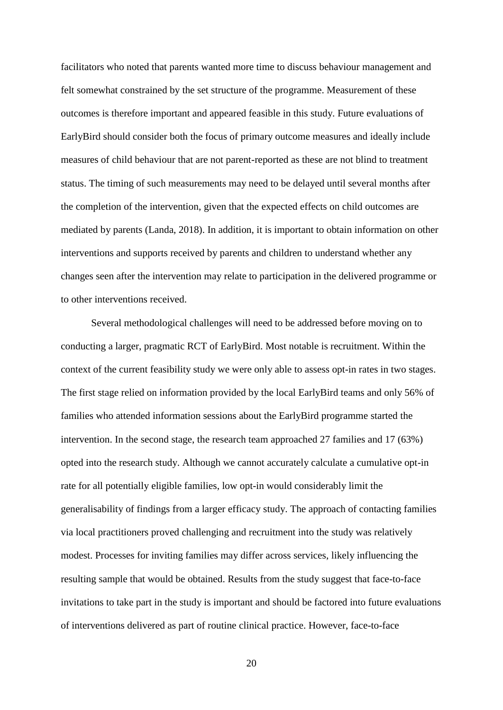facilitators who noted that parents wanted more time to discuss behaviour management and felt somewhat constrained by the set structure of the programme. Measurement of these outcomes is therefore important and appeared feasible in this study. Future evaluations of EarlyBird should consider both the focus of primary outcome measures and ideally include measures of child behaviour that are not parent-reported as these are not blind to treatment status. The timing of such measurements may need to be delayed until several months after the completion of the intervention, given that the expected effects on child outcomes are mediated by parents (Landa, 2018). In addition, it is important to obtain information on other interventions and supports received by parents and children to understand whether any changes seen after the intervention may relate to participation in the delivered programme or to other interventions received.

Several methodological challenges will need to be addressed before moving on to conducting a larger, pragmatic RCT of EarlyBird. Most notable is recruitment. Within the context of the current feasibility study we were only able to assess opt-in rates in two stages. The first stage relied on information provided by the local EarlyBird teams and only 56% of families who attended information sessions about the EarlyBird programme started the intervention. In the second stage, the research team approached 27 families and 17 (63%) opted into the research study. Although we cannot accurately calculate a cumulative opt-in rate for all potentially eligible families, low opt-in would considerably limit the generalisability of findings from a larger efficacy study. The approach of contacting families via local practitioners proved challenging and recruitment into the study was relatively modest. Processes for inviting families may differ across services, likely influencing the resulting sample that would be obtained. Results from the study suggest that face-to-face invitations to take part in the study is important and should be factored into future evaluations of interventions delivered as part of routine clinical practice. However, face-to-face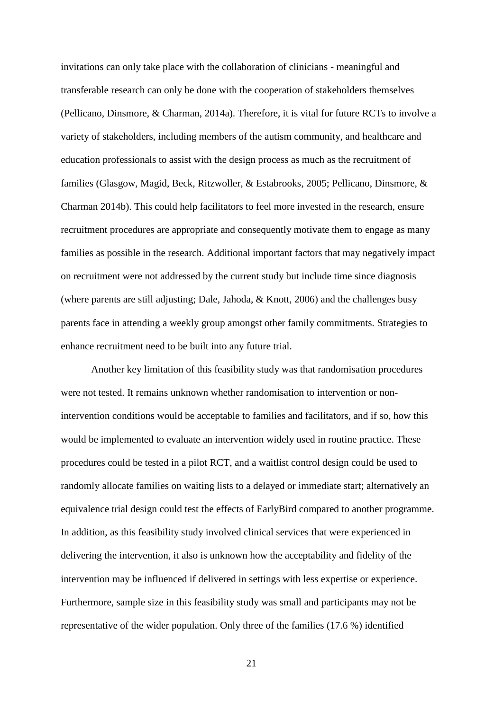invitations can only take place with the collaboration of clinicians - meaningful and transferable research can only be done with the cooperation of stakeholders themselves (Pellicano, Dinsmore, & Charman, 2014a). Therefore, it is vital for future RCTs to involve a variety of stakeholders, including members of the autism community, and healthcare and education professionals to assist with the design process as much as the recruitment of families (Glasgow, Magid, Beck, Ritzwoller, & Estabrooks, 2005; Pellicano, Dinsmore, & Charman 2014b). This could help facilitators to feel more invested in the research, ensure recruitment procedures are appropriate and consequently motivate them to engage as many families as possible in the research. Additional important factors that may negatively impact on recruitment were not addressed by the current study but include time since diagnosis (where parents are still adjusting; Dale, Jahoda, & Knott, 2006) and the challenges busy parents face in attending a weekly group amongst other family commitments. Strategies to enhance recruitment need to be built into any future trial.

Another key limitation of this feasibility study was that randomisation procedures were not tested. It remains unknown whether randomisation to intervention or nonintervention conditions would be acceptable to families and facilitators, and if so, how this would be implemented to evaluate an intervention widely used in routine practice. These procedures could be tested in a pilot RCT, and a waitlist control design could be used to randomly allocate families on waiting lists to a delayed or immediate start; alternatively an equivalence trial design could test the effects of EarlyBird compared to another programme. In addition, as this feasibility study involved clinical services that were experienced in delivering the intervention, it also is unknown how the acceptability and fidelity of the intervention may be influenced if delivered in settings with less expertise or experience. Furthermore, sample size in this feasibility study was small and participants may not be representative of the wider population. Only three of the families (17.6 %) identified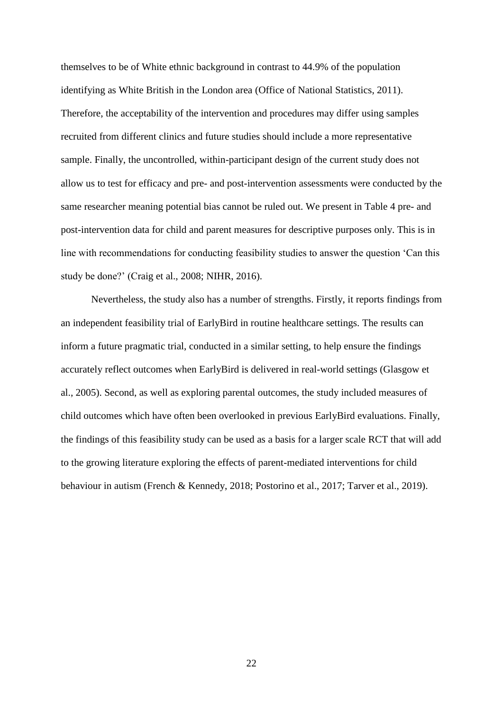themselves to be of White ethnic background in contrast to 44.9% of the population identifying as White British in the London area (Office of National Statistics, 2011). Therefore, the acceptability of the intervention and procedures may differ using samples recruited from different clinics and future studies should include a more representative sample. Finally, the uncontrolled, within-participant design of the current study does not allow us to test for efficacy and pre- and post-intervention assessments were conducted by the same researcher meaning potential bias cannot be ruled out. We present in Table 4 pre- and post-intervention data for child and parent measures for descriptive purposes only. This is in line with recommendations for conducting feasibility studies to answer the question 'Can this study be done?' (Craig et al., 2008; NIHR, 2016).

Nevertheless, the study also has a number of strengths. Firstly, it reports findings from an independent feasibility trial of EarlyBird in routine healthcare settings. The results can inform a future pragmatic trial, conducted in a similar setting, to help ensure the findings accurately reflect outcomes when EarlyBird is delivered in real-world settings (Glasgow et al., 2005). Second, as well as exploring parental outcomes, the study included measures of child outcomes which have often been overlooked in previous EarlyBird evaluations. Finally, the findings of this feasibility study can be used as a basis for a larger scale RCT that will add to the growing literature exploring the effects of parent-mediated interventions for child behaviour in autism (French & Kennedy, 2018; Postorino et al., 2017; Tarver et al., 2019).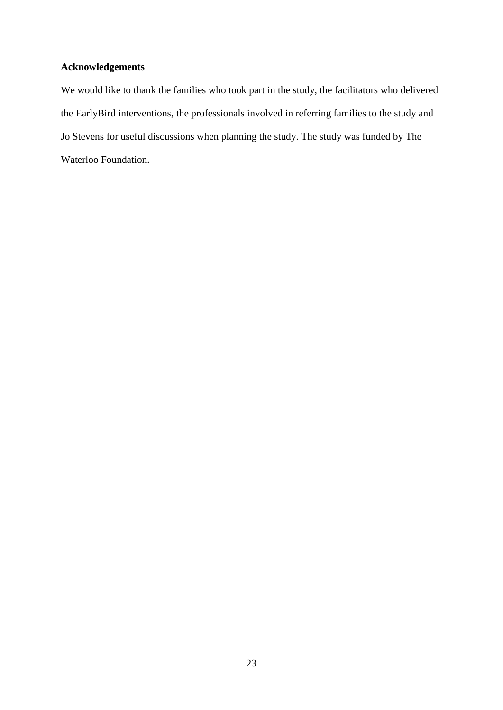# **Acknowledgements**

We would like to thank the families who took part in the study, the facilitators who delivered the EarlyBird interventions, the professionals involved in referring families to the study and Jo Stevens for useful discussions when planning the study. The study was funded by The Waterloo Foundation.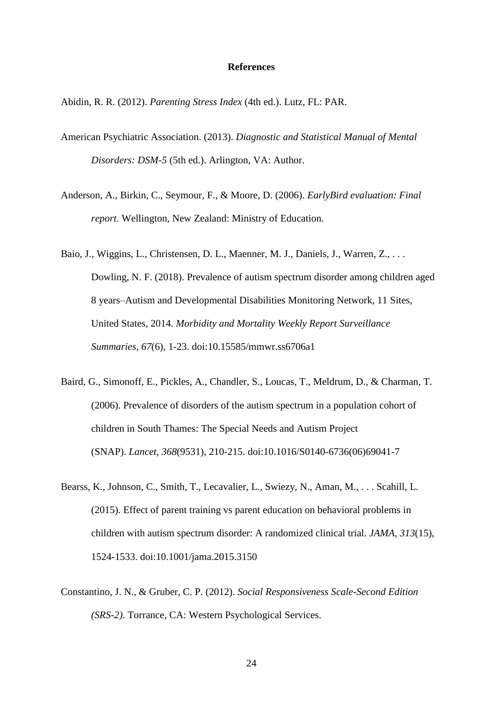### **References**

Abidin, R. R. (2012). *Parenting Stress Index* (4th ed.). Lutz, FL: PAR.

- American Psychiatric Association. (2013). *Diagnostic and Statistical Manual of Mental Disorders: DSM-5* (5th ed.). Arlington, VA: Author.
- Anderson, A., Birkin, C., Seymour, F., & Moore, D. (2006). *EarlyBird evaluation: Final report*. Wellington, New Zealand: Ministry of Education.
- Baio, J., Wiggins, L., Christensen, D. L., Maenner, M. J., Daniels, J., Warren, Z., . . . Dowling, N. F. (2018). Prevalence of autism spectrum disorder among children aged 8 years–Autism and Developmental Disabilities Monitoring Network, 11 Sites, United States, 2014. *Morbidity and Mortality Weekly Report Surveillance Summaries, 67*(6), 1-23. doi:10.15585/mmwr.ss6706a1
- Baird, G., Simonoff, E., Pickles, A., Chandler, S., Loucas, T., Meldrum, D., & Charman, T. (2006). Prevalence of disorders of the autism spectrum in a population cohort of children in South Thames: The Special Needs and Autism Project (SNAP). *Lancet, 368*(9531), 210-215. doi:10.1016/S0140-6736(06)69041-7
- Bearss, K., Johnson, C., Smith, T., Lecavalier, L., Swiezy, N., Aman, M., . . . Scahill, L. (2015). Effect of parent training vs parent education on behavioral problems in children with autism spectrum disorder: A randomized clinical trial. *JAMA, 313*(15), 1524-1533. doi:10.1001/jama.2015.3150
- Constantino, J. N., & Gruber, C. P. (2012). *Social Responsiveness Scale-Second Edition (SRS-2)*. Torrance, CA: Western Psychological Services.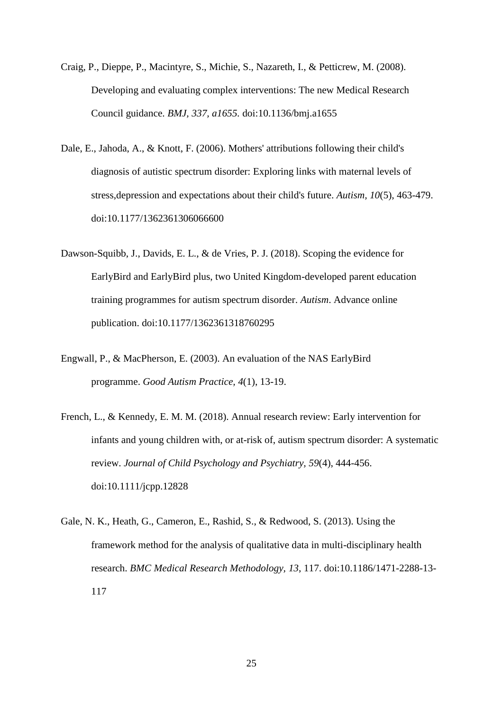- Craig, P., Dieppe, P., Macintyre, S., Michie, S., Nazareth, I., & Petticrew, M. (2008). Developing and evaluating complex interventions: The new Medical Research Council guidance. *BMJ, 337, a1655.* doi:10.1136/bmj.a1655
- Dale, E., Jahoda, A., & Knott, F. (2006). Mothers' attributions following their child's diagnosis of autistic spectrum disorder: Exploring links with maternal levels of stress,depression and expectations about their child's future. *Autism, 10*(5), 463-479. doi:10.1177/1362361306066600
- Dawson-Squibb, J., Davids, E. L., & de Vries, P. J. (2018). Scoping the evidence for EarlyBird and EarlyBird plus, two United Kingdom-developed parent education training programmes for autism spectrum disorder. *Autism*. Advance online publication. doi:10.1177/1362361318760295
- Engwall, P., & MacPherson, E. (2003). An evaluation of the NAS EarlyBird programme. *Good Autism Practice, 4*(1), 13-19.
- French, L., & Kennedy, E. M. M. (2018). Annual research review: Early intervention for infants and young children with, or at-risk of, autism spectrum disorder: A systematic review. *Journal of Child Psychology and Psychiatry, 59*(4), 444-456. doi:10.1111/jcpp.12828
- Gale, N. K., Heath, G., Cameron, E., Rashid, S., & Redwood, S. (2013). Using the framework method for the analysis of qualitative data in multi-disciplinary health research. *BMC Medical Research Methodology, 13*, 117. doi:10.1186/1471-2288-13- 117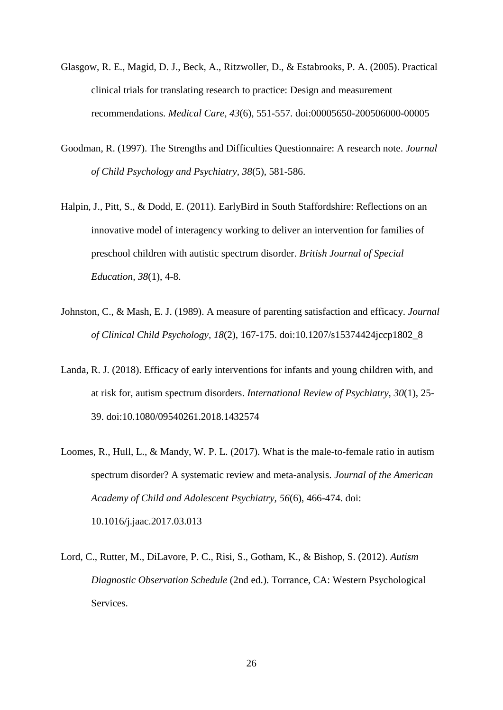- Glasgow, R. E., Magid, D. J., Beck, A., Ritzwoller, D., & Estabrooks, P. A. (2005). Practical clinical trials for translating research to practice: Design and measurement recommendations. *Medical Care, 43*(6), 551-557. doi:00005650-200506000-00005
- Goodman, R. (1997). The Strengths and Difficulties Questionnaire: A research note. *Journal of Child Psychology and Psychiatry, 38*(5), 581-586.
- Halpin, J., Pitt, S., & Dodd, E. (2011). EarlyBird in South Staffordshire: Reflections on an innovative model of interagency working to deliver an intervention for families of preschool children with autistic spectrum disorder. *British Journal of Special Education, 38*(1), 4-8.
- Johnston, C., & Mash, E. J. (1989). A measure of parenting satisfaction and efficacy. *Journal of Clinical Child Psychology, 18*(2), 167-175. doi:10.1207/s15374424jccp1802\_8
- Landa, R. J. (2018). Efficacy of early interventions for infants and young children with, and at risk for, autism spectrum disorders. *International Review of Psychiatry, 30*(1), 25- 39. doi:10.1080/09540261.2018.1432574
- Loomes, R., Hull, L., & Mandy, W. P. L. (2017). What is the male-to-female ratio in autism spectrum disorder? A systematic review and meta-analysis. *Journal of the American Academy of Child and Adolescent Psychiatry, 56*(6), 466-474. doi: 10.1016/j.jaac.2017.03.013
- Lord, C., Rutter, M., DiLavore, P. C., Risi, S., Gotham, K., & Bishop, S. (2012). *Autism Diagnostic Observation Schedule* (2nd ed.). Torrance, CA: Western Psychological Services.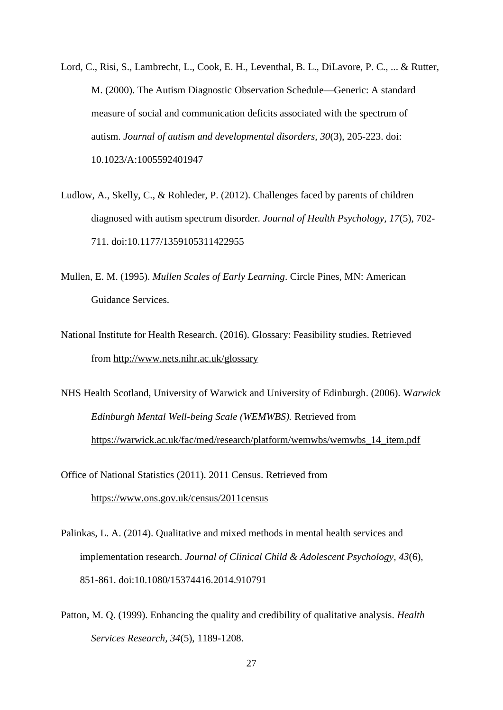- Lord, C., Risi, S., Lambrecht, L., Cook, E. H., Leventhal, B. L., DiLavore, P. C., ... & Rutter, M. (2000). The Autism Diagnostic Observation Schedule—Generic: A standard measure of social and communication deficits associated with the spectrum of autism. *Journal of autism and developmental disorders, 30*(3), 205-223. doi: 10.1023/A:1005592401947
- Ludlow, A., Skelly, C., & Rohleder, P. (2012). Challenges faced by parents of children diagnosed with autism spectrum disorder. *Journal of Health Psychology, 17*(5), 702- 711. doi:10.1177/1359105311422955
- Mullen, E. M. (1995). *Mullen Scales of Early Learning*. Circle Pines, MN: American Guidance Services.
- National Institute for Health Research. (2016). Glossary: Feasibility studies. Retrieved from <http://www.nets.nihr.ac.uk/glossary>
- NHS Health Scotland, University of Warwick and University of Edinburgh. (2006). W*arwick Edinburgh Mental Well-being Scale (WEMWBS).* Retrieved from [https://warwick.ac.uk/fac/med/research/platform/wemwbs/wemwbs\\_14\\_item.pdf](https://warwick.ac.uk/fac/med/research/platform/wemwbs/wemwbs_14_item.pdf)
- Office of National Statistics (2011). 2011 Census. Retrieved from <https://www.ons.gov.uk/census/2011census>
- Palinkas, L. A. (2014). Qualitative and mixed methods in mental health services and implementation research. *Journal of Clinical Child & Adolescent Psychology, 43*(6), 851-861. doi:10.1080/15374416.2014.910791
- Patton, M. Q. (1999). Enhancing the quality and credibility of qualitative analysis. *Health Services Research, 34*(5), 1189-1208.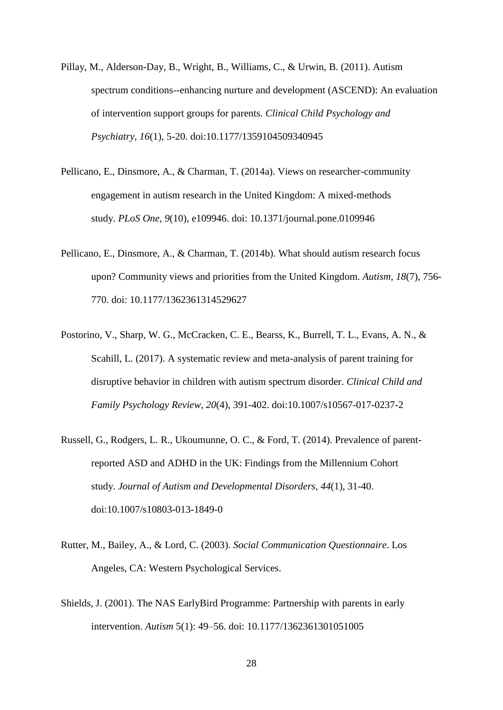- Pillay, M., Alderson-Day, B., Wright, B., Williams, C., & Urwin, B. (2011). Autism spectrum conditions--enhancing nurture and development (ASCEND): An evaluation of intervention support groups for parents. *Clinical Child Psychology and Psychiatry, 16*(1), 5-20. doi:10.1177/1359104509340945
- Pellicano, E., Dinsmore, A., & Charman, T. (2014a). Views on researcher-community engagement in autism research in the United Kingdom: A mixed-methods study. *PLoS One, 9*(10), e109946. doi: [10.1371/journal.pone.0109946](https://dx.doi.org/10.1371%2Fjournal.pone.0109946)
- Pellicano, E., Dinsmore, A., & Charman, T. (2014b). What should autism research focus upon? Community views and priorities from the United Kingdom. *Autism, 18*(7), 756- 770. doi: [10.1177/1362361314529627](https://dx.doi.org/10.1177%2F1362361314529627)
- Postorino, V., Sharp, W. G., McCracken, C. E., Bearss, K., Burrell, T. L., Evans, A. N., & Scahill, L. (2017). A systematic review and meta-analysis of parent training for disruptive behavior in children with autism spectrum disorder. *Clinical Child and Family Psychology Review, 20*(4), 391-402. doi:10.1007/s10567-017-0237-2
- Russell, G., Rodgers, L. R., Ukoumunne, O. C., & Ford, T. (2014). Prevalence of parentreported ASD and ADHD in the UK: Findings from the Millennium Cohort study. *Journal of Autism and Developmental Disorders, 44*(1), 31-40. doi:10.1007/s10803-013-1849-0
- Rutter, M., Bailey, A., & Lord, C. (2003). *Social Communication Questionnaire*. Los Angeles, CA: Western Psychological Services.
- Shields, J. (2001). The NAS EarlyBird Programme: Partnership with parents in early intervention. *Autism* 5(1): 49–56. doi: [10.1177/1362361301051005](https://doi.org/10.1177%2F1362361301051005)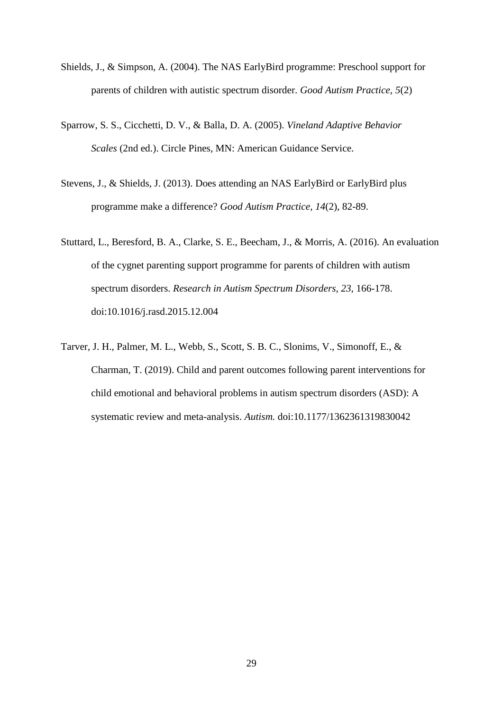- Shields, J., & Simpson, A. (2004). The NAS EarlyBird programme: Preschool support for parents of children with autistic spectrum disorder. *Good Autism Practice, 5*(2)
- Sparrow, S. S., Cicchetti, D. V., & Balla, D. A. (2005). *Vineland Adaptive Behavior Scales* (2nd ed.). Circle Pines, MN: American Guidance Service.
- Stevens, J., & Shields, J. (2013). Does attending an NAS EarlyBird or EarlyBird plus programme make a difference? *Good Autism Practice, 14*(2), 82-89.
- Stuttard, L., Beresford, B. A., Clarke, S. E., Beecham, J., & Morris, A. (2016). An evaluation of the cygnet parenting support programme for parents of children with autism spectrum disorders. *Research in Autism Spectrum Disorders, 23*, 166-178. doi:10.1016/j.rasd.2015.12.004
- Tarver, J. H., Palmer, M. L., Webb, S., Scott, S. B. C., Slonims, V., Simonoff, E., & Charman, T. (2019). Child and parent outcomes following parent interventions for child emotional and behavioral problems in autism spectrum disorders (ASD): A systematic review and meta-analysis. *Autism.* doi[:10.1177/1362361319830042](https://doi.org/10.1177%2F1362361319830042)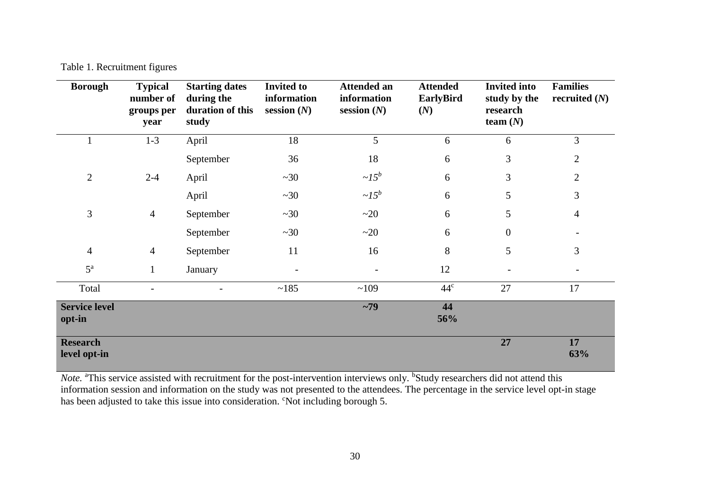Table 1. Recruitment figures

| <b>Borough</b>                  | <b>Typical</b><br>number of<br>groups per<br>year | <b>Starting dates</b><br>during the<br>duration of this<br>study | <b>Invited to</b><br>information<br>session $(N)$ | <b>Attended an</b><br>information<br>session $(N)$ | <b>Attended</b><br><b>EarlyBird</b><br>(N) | <b>Invited into</b><br>study by the<br>research<br>team $(N)$ | <b>Families</b><br>recruited $(N)$ |
|---------------------------------|---------------------------------------------------|------------------------------------------------------------------|---------------------------------------------------|----------------------------------------------------|--------------------------------------------|---------------------------------------------------------------|------------------------------------|
| 1                               | $1 - 3$                                           | April                                                            | 18                                                | 5                                                  | 6                                          | 6                                                             | 3                                  |
|                                 |                                                   | September                                                        | 36                                                | 18                                                 | 6                                          | $\mathfrak{Z}$                                                | $\overline{2}$                     |
| $\sqrt{2}$                      | $2 - 4$                                           | April                                                            | ~20                                               | $\sim l 5^b$                                       | 6                                          | 3                                                             | $\mathbf{2}$                       |
|                                 |                                                   | April                                                            | ~20                                               | $\sim l 5^b$                                       | 6                                          | 5                                                             | 3                                  |
| $\mathfrak{Z}$                  | $\overline{4}$                                    | September                                                        | ~20                                               | ~20                                                | 6                                          | 5                                                             | $\overline{4}$                     |
|                                 |                                                   | September                                                        | ~20                                               | ~20                                                | 6                                          | $\boldsymbol{0}$                                              |                                    |
| $\overline{4}$                  | $\overline{4}$                                    | September                                                        | 11                                                | 16                                                 | $8\,$                                      | 5                                                             | 3                                  |
| $5^{\rm a}$                     | $\mathbf{1}$                                      | January                                                          |                                                   |                                                    | 12                                         | $\overline{\phantom{a}}$                                      |                                    |
| Total                           |                                                   |                                                                  | ~185                                              | ~109                                               | 44 <sup>c</sup>                            | 27                                                            | 17                                 |
| <b>Service level</b><br>opt-in  |                                                   |                                                                  |                                                   | $~1$ 79                                            | 44<br>56%                                  |                                                               |                                    |
| <b>Research</b><br>level opt-in |                                                   |                                                                  |                                                   |                                                    |                                            | 27                                                            | 17<br>63%                          |

*Note.* <sup>a</sup>This service assisted with recruitment for the post-intervention interviews only. <sup>b</sup>Study researchers did not attend this information session and information on the study was not presented to the attendees. The percentage in the service level opt-in stage has been adjusted to take this issue into consideration. <sup>c</sup>Not including borough 5.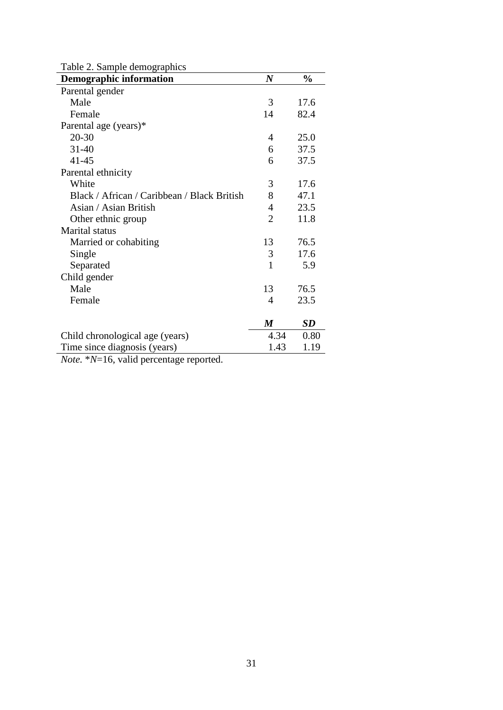| Table 2. Sample demographics                                        |                  |               |  |  |  |
|---------------------------------------------------------------------|------------------|---------------|--|--|--|
| <b>Demographic information</b>                                      | $\boldsymbol{N}$ | $\frac{0}{0}$ |  |  |  |
| Parental gender                                                     |                  |               |  |  |  |
| Male                                                                | 3                | 17.6          |  |  |  |
| Female                                                              | 14               | 82.4          |  |  |  |
| Parental age (years)*                                               |                  |               |  |  |  |
| $20 - 30$                                                           | 4                | 25.0          |  |  |  |
| $31 - 40$                                                           | 6                | 37.5          |  |  |  |
| $41 - 45$                                                           | 6                | 37.5          |  |  |  |
| Parental ethnicity                                                  |                  |               |  |  |  |
| White                                                               | 3                | 17.6          |  |  |  |
| Black / African / Caribbean / Black British                         | 8                | 47.1          |  |  |  |
| Asian / Asian British                                               | 4                | 23.5          |  |  |  |
| Other ethnic group                                                  | $\overline{2}$   | 11.8          |  |  |  |
| Marital status                                                      |                  |               |  |  |  |
| Married or cohabiting                                               | 13               | 76.5          |  |  |  |
| Single                                                              | 3                | 17.6          |  |  |  |
| Separated                                                           | 1                | 5.9           |  |  |  |
| Child gender                                                        |                  |               |  |  |  |
| Male                                                                | 13               | 76.5          |  |  |  |
| Female                                                              | 4                | 23.5          |  |  |  |
|                                                                     |                  |               |  |  |  |
|                                                                     | $\boldsymbol{M}$ | SD            |  |  |  |
| Child chronological age (years)                                     | 4.34             | 0.80          |  |  |  |
| Time since diagnosis (years)                                        | 1.43             | 1.19          |  |  |  |
| $M_{\rm tot}$ , $*M_{\rm}$ 16 $\sim$ and dependence we can a set of |                  |               |  |  |  |

*Note.* \**N*=16, valid percentage reported.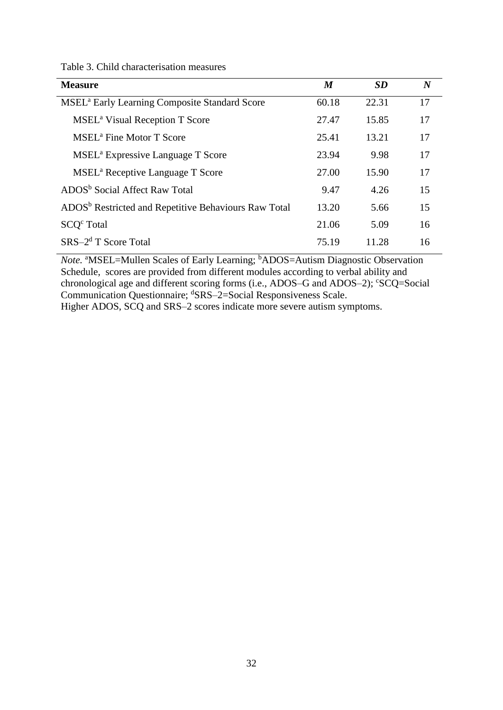|  |  | Table 3. Child characterisation measures |  |
|--|--|------------------------------------------|--|
|--|--|------------------------------------------|--|

| <b>Measure</b>                                                   | $\boldsymbol{M}$ | <b>SD</b> | $\boldsymbol{N}$ |
|------------------------------------------------------------------|------------------|-----------|------------------|
| <b>MSEL</b> <sup>a</sup> Early Learning Composite Standard Score | 60.18            | 22.31     | 17               |
| <b>MSEL<sup>a</sup></b> Visual Reception T Score                 | 27.47            | 15.85     | 17               |
| MSEL <sup>a</sup> Fine Motor T Score                             | 25.41            | 13.21     | 17               |
| MSEL <sup>a</sup> Expressive Language T Score                    | 23.94            | 9.98      | 17               |
| MSEL <sup>a</sup> Receptive Language T Score                     | 27.00            | 15.90     | 17               |
| ADOS <sup>b</sup> Social Affect Raw Total                        | 9.47             | 4.26      | 15               |
| ADOS <sup>b</sup> Restricted and Repetitive Behaviours Raw Total | 13.20            | 5.66      | 15               |
| SCO <sup>c</sup> Total                                           | 21.06            | 5.09      | 16               |
| $SRS-2d$ T Score Total                                           | 75.19            | 11.28     | 16               |

*Note.* <sup>a</sup>MSEL=Mullen Scales of Early Learning; <sup>b</sup>ADOS=Autism Diagnostic Observation Schedule, scores are provided from different modules according to verbal ability and chronological age and different scoring forms (i.e., ADOS-G and ADOS-2); 'SCQ=Social Communication Questionnaire; <sup>d</sup>SRS-2=Social Responsiveness Scale. Higher ADOS, SCQ and SRS–2 scores indicate more severe autism symptoms.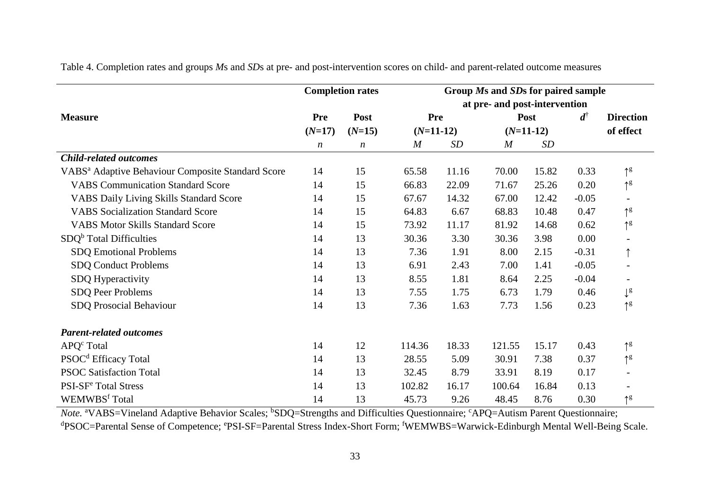|                                                               | <b>Completion rates</b> |                               | Group Ms and SDs for paired sample |            |                  |             |         |                           |  |
|---------------------------------------------------------------|-------------------------|-------------------------------|------------------------------------|------------|------------------|-------------|---------|---------------------------|--|
|                                                               |                         | at pre- and post-intervention |                                    |            |                  |             |         |                           |  |
| <b>Measure</b>                                                | <b>Pre</b>              | Post                          |                                    | <b>Pre</b> |                  | Post        |         | <b>Direction</b>          |  |
|                                                               | $(N=17)$                | $(N=15)$                      | $(N=11-12)$                        |            |                  | $(N=11-12)$ |         | of effect                 |  |
|                                                               | $\boldsymbol{n}$        | $\boldsymbol{n}$              | M                                  | SD         | $\boldsymbol{M}$ | SD          |         |                           |  |
| <b>Child-related outcomes</b>                                 |                         |                               |                                    |            |                  |             |         |                           |  |
| VABS <sup>a</sup> Adaptive Behaviour Composite Standard Score | 14                      | 15                            | 65.58                              | 11.16      | 70.00            | 15.82       | 0.33    | $\uparrow^g$              |  |
| <b>VABS Communication Standard Score</b>                      | 14                      | 15                            | 66.83                              | 22.09      | 71.67            | 25.26       | 0.20    | $\uparrow^g$              |  |
| <b>VABS Daily Living Skills Standard Score</b>                | 14                      | 15                            | 67.67                              | 14.32      | 67.00            | 12.42       | $-0.05$ |                           |  |
| <b>VABS</b> Socialization Standard Score                      | 14                      | 15                            | 64.83                              | 6.67       | 68.83            | 10.48       | 0.47    | $\uparrow$ g              |  |
| <b>VABS Motor Skills Standard Score</b>                       | 14                      | 15                            | 73.92                              | 11.17      | 81.92            | 14.68       | 0.62    | $\uparrow^g$              |  |
| $SDQb$ Total Difficulties                                     | 14                      | 13                            | 30.36                              | 3.30       | 30.36            | 3.98        | 0.00    |                           |  |
| <b>SDQ Emotional Problems</b>                                 | 14                      | 13                            | 7.36                               | 1.91       | 8.00             | 2.15        | $-0.31$ |                           |  |
| <b>SDQ Conduct Problems</b>                                   | 14                      | 13                            | 6.91                               | 2.43       | 7.00             | 1.41        | $-0.05$ |                           |  |
| SDQ Hyperactivity                                             | 14                      | 13                            | 8.55                               | 1.81       | 8.64             | 2.25        | $-0.04$ |                           |  |
| SDQ Peer Problems                                             | 14                      | 13                            | 7.55                               | 1.75       | 6.73             | 1.79        | 0.46    | $\downarrow^{\mathrm{g}}$ |  |
| SDQ Prosocial Behaviour                                       | 14                      | 13                            | 7.36                               | 1.63       | 7.73             | 1.56        | 0.23    | $\uparrow^g$              |  |
| <b>Parent-related outcomes</b>                                |                         |                               |                                    |            |                  |             |         |                           |  |
| $APQc$ Total                                                  | 14                      | 12                            | 114.36                             | 18.33      | 121.55           | 15.17       | 0.43    | $\uparrow^g$              |  |
| PSOC <sup>d</sup> Efficacy Total                              | 14                      | 13                            | 28.55                              | 5.09       | 30.91            | 7.38        | 0.37    | $\uparrow^g$              |  |
| <b>PSOC Satisfaction Total</b>                                | 14                      | 13                            | 32.45                              | 8.79       | 33.91            | 8.19        | 0.17    |                           |  |
| PSI-SF <sup>e</sup> Total Stress                              | 14                      | 13                            | 102.82                             | 16.17      | 100.64           | 16.84       | 0.13    |                           |  |
| WEMWBS <sup>f</sup> Total                                     | 14                      | 13                            | 45.73                              | 9.26       | 48.45            | 8.76        | 0.30    | $\uparrow$ g              |  |

Table 4. Completion rates and groups *M*s and *SD*s at pre- and post-intervention scores on child- and parent-related outcome measures

*Note.* <sup>a</sup>VABS=Vineland Adaptive Behavior Scales; <sup>b</sup>SDQ=Strengths and Difficulties Questionnaire; <sup>c</sup>APQ=Autism Parent Questionnaire; dPSOC=Parental Sense of Competence; ePSI-SF=Parental Stress Index-Short Form; fWEMWBS=Warwick-Edinburgh Mental Well-Being Scale.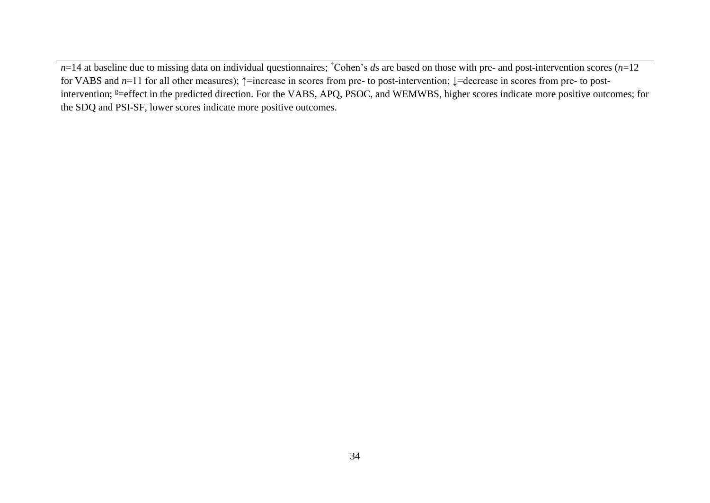$n=14$  at baseline due to missing data on individual questionnaires; <sup>†</sup>Cohen's *ds* are based on those with pre- and post-intervention scores (*n*=12 for VABS and *n*=11 for all other measures); ↑=increase in scores from pre- to post-intervention; ↓=decrease in scores from pre- to postintervention; <sup>g</sup>=effect in the predicted direction. For the VABS, APQ, PSOC, and WEMWBS, higher scores indicate more positive outcomes; for the SDQ and PSI-SF, lower scores indicate more positive outcomes.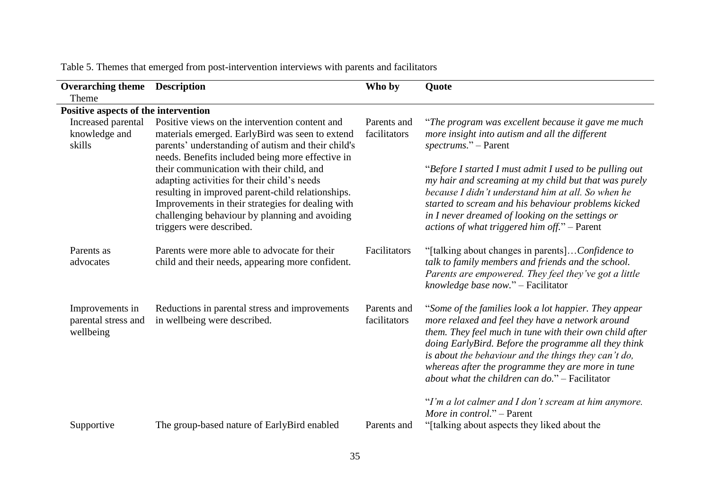| <b>Overarching theme</b> Description<br>Theme       |                                                                                                                                                                                                                                                                                                                                                                                                                                                                                                 | Who by                      | Quote                                                                                                                                                                                                                                                                                                                                                                                                                                                             |
|-----------------------------------------------------|-------------------------------------------------------------------------------------------------------------------------------------------------------------------------------------------------------------------------------------------------------------------------------------------------------------------------------------------------------------------------------------------------------------------------------------------------------------------------------------------------|-----------------------------|-------------------------------------------------------------------------------------------------------------------------------------------------------------------------------------------------------------------------------------------------------------------------------------------------------------------------------------------------------------------------------------------------------------------------------------------------------------------|
| Positive aspects of the intervention                |                                                                                                                                                                                                                                                                                                                                                                                                                                                                                                 |                             |                                                                                                                                                                                                                                                                                                                                                                                                                                                                   |
| Increased parental<br>knowledge and<br>skills       | Positive views on the intervention content and<br>materials emerged. EarlyBird was seen to extend<br>parents' understanding of autism and their child's<br>needs. Benefits included being more effective in<br>their communication with their child, and<br>adapting activities for their child's needs<br>resulting in improved parent-child relationships.<br>Improvements in their strategies for dealing with<br>challenging behaviour by planning and avoiding<br>triggers were described. | Parents and<br>facilitators | "The program was excellent because it gave me much<br>more insight into autism and all the different<br>spectrums." – Parent<br>"Before I started I must admit I used to be pulling out<br>my hair and screaming at my child but that was purely<br>because I didn't understand him at all. So when he<br>started to scream and his behaviour problems kicked<br>in I never dreamed of looking on the settings or<br>actions of what triggered him off." - Parent |
| Parents as<br>advocates                             | Parents were more able to advocate for their<br>child and their needs, appearing more confident.                                                                                                                                                                                                                                                                                                                                                                                                | Facilitators                | "[talking about changes in parents]Confidence to<br>talk to family members and friends and the school.<br>Parents are empowered. They feel they've got a little<br>knowledge base now." - Facilitator                                                                                                                                                                                                                                                             |
| Improvements in<br>parental stress and<br>wellbeing | Reductions in parental stress and improvements<br>in wellbeing were described.                                                                                                                                                                                                                                                                                                                                                                                                                  | Parents and<br>facilitators | "Some of the families look a lot happier. They appear<br>more relaxed and feel they have a network around<br>them. They feel much in tune with their own child after<br>doing EarlyBird. Before the programme all they think<br>is about the behaviour and the things they can't do,<br>whereas after the programme they are more in tune<br>about what the children can $do.$ " $-$ Facilitator                                                                  |
| Supportive                                          | The group-based nature of EarlyBird enabled                                                                                                                                                                                                                                                                                                                                                                                                                                                     | Parents and                 | "I'm a lot calmer and I don't scream at him anymore.<br>More in control." - Parent<br>"[talking about aspects they liked about the                                                                                                                                                                                                                                                                                                                                |

Table 5. Themes that emerged from post-intervention interviews with parents and facilitators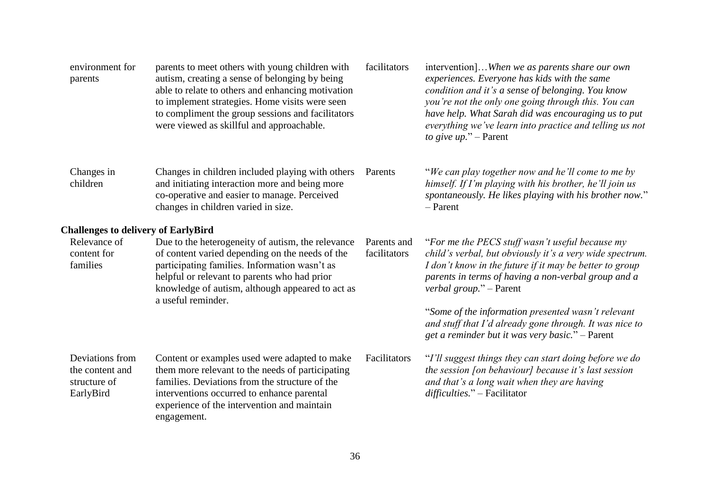| environment for<br>parents                                      | parents to meet others with young children with<br>autism, creating a sense of belonging by being<br>able to relate to others and enhancing motivation<br>to implement strategies. Home visits were seen<br>to compliment the group sessions and facilitators<br>were viewed as skillful and approachable. | facilitators                | intervention]When we as parents share our own<br>experiences. Everyone has kids with the same<br>condition and it's a sense of belonging. You know<br>you're not the only one going through this. You can<br>have help. What Sarah did was encouraging us to put<br>everything we've learn into practice and telling us not<br>to give up." $-$ Parent |
|-----------------------------------------------------------------|------------------------------------------------------------------------------------------------------------------------------------------------------------------------------------------------------------------------------------------------------------------------------------------------------------|-----------------------------|--------------------------------------------------------------------------------------------------------------------------------------------------------------------------------------------------------------------------------------------------------------------------------------------------------------------------------------------------------|
| Changes in<br>children                                          | Changes in children included playing with others<br>and initiating interaction more and being more<br>co-operative and easier to manage. Perceived<br>changes in children varied in size.                                                                                                                  | Parents                     | "We can play together now and he'll come to me by<br>himself. If I'm playing with his brother, he'll join us<br>spontaneously. He likes playing with his brother now."<br>$-$ Parent                                                                                                                                                                   |
| <b>Challenges to delivery of EarlyBird</b>                      |                                                                                                                                                                                                                                                                                                            |                             |                                                                                                                                                                                                                                                                                                                                                        |
| Relevance of<br>content for<br>families                         | Due to the heterogeneity of autism, the relevance<br>of content varied depending on the needs of the<br>participating families. Information wasn't as<br>helpful or relevant to parents who had prior<br>knowledge of autism, although appeared to act as<br>a useful reminder.                            | Parents and<br>facilitators | "For me the PECS stuff wasn't useful because my<br>child's verbal, but obviously it's a very wide spectrum.<br>I don't know in the future if it may be better to group<br>parents in terms of having a non-verbal group and a<br>verbal group." – Parent                                                                                               |
|                                                                 |                                                                                                                                                                                                                                                                                                            |                             | "Some of the information presented wasn't relevant<br>and stuff that I'd already gone through. It was nice to<br>get a reminder but it was very basic." - Parent                                                                                                                                                                                       |
| Deviations from<br>the content and<br>structure of<br>EarlyBird | Content or examples used were adapted to make<br>them more relevant to the needs of participating<br>families. Deviations from the structure of the<br>interventions occurred to enhance parental<br>experience of the intervention and maintain<br>engagement.                                            | Facilitators                | "I'll suggest things they can start doing before we do<br>the session [on behaviour] because it's last session<br>and that's a long wait when they are having<br>difficulties." - Facilitator                                                                                                                                                          |